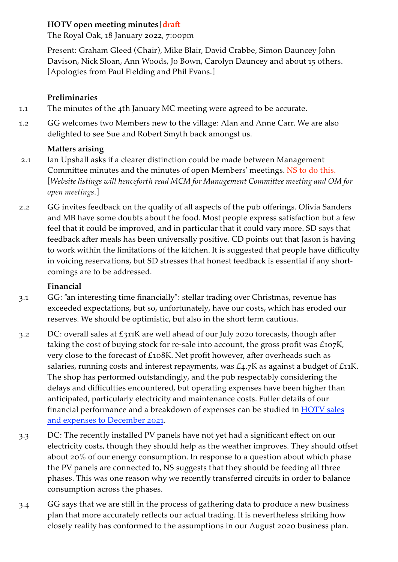## **HOTV open meeting minutes|draft**

The Royal Oak, 18 January 2022, 7:00pm

Present: Graham Gleed (Chair), Mike Blair, David Crabbe, Simon Dauncey John Davison, Nick Sloan, Ann Woods, Jo Bown, Carolyn Dauncey and about 15 others. [Apologies from Paul Fielding and Phil Evans.]

## **Preliminaries**

- 1.1 The minutes of the 4th January MC meeting were agreed to be accurate.
- 1.2 GG welcomes two Members new to the village: Alan and Anne Carr. We are also delighted to see Sue and Robert Smyth back amongst us.

# **Matters arising**

- 2.1 Ian Upshall asks if a clearer distinction could be made between Management Committee minutes and the minutes of open Members' meetings. NS to do this. [*Website listings will henceforth read MCM for Management Committee meeting and OM for open meetings*.]
- 2.2 GG invites feedback on the quality of all aspects of the pub offerings. Olivia Sanders and MB have some doubts about the food. Most people express satisfaction but a few feel that it could be improved, and in particular that it could vary more. SD says that feedback after meals has been universally positive. CD points out that Jason is having to work within the limitations of the kitchen. It is suggested that people have difficulty in voicing reservations, but SD stresses that honest feedback is essential if any shortcomings are to be addressed.

## **Financial**

- 3.1 GG: "an interesting time financially": stellar trading over Christmas, revenue has exceeded expectations, but so, unfortunately, have our costs, which has eroded our reserves. We should be optimistic, but also in the short term cautious.
- 3.2 DC: overall sales at £311K are well ahead of our July 202o forecasts, though after taking the cost of buying stock for re-sale into account, the gross profit was £107K, very close to the forecast of £108K. Net profit however, after overheads such as salaries, running costs and interest repayments, was £4.7K as against a budget of £11K. The shop has performed outstandingly, and the pub respectably considering the delays and difficulties encountered, but operating expenses have been higher than anticipated, particularly electricity and maintenance costs. Fuller details of our financial performance and a breakdown of expenses can be studied in **HOTV** sales [and expenses to December](https://www.stokestgregory.org/wp-content/uploads/2022/01/HOTV-Apr-Dec-2021-Sales-Gross-and-Net-Profit-Actual-v-Budget.pdf) 2021.
- 3.3 DC: The recently installed PV panels have not yet had a significant effect on our electricity costs, though they should help as the weather improves. They should offset about 20% of our energy consumption. In response to a question about which phase the PV panels are connected to, NS suggests that they should be feeding all three phases. This was one reason why we recently transferred circuits in order to balance consumption across the phases.
- 3.4 GG says that we are still in the process of gathering data to produce a new business plan that more accurately reflects our actual trading. It is nevertheless striking how closely reality has conformed to the assumptions in our August 2020 business plan.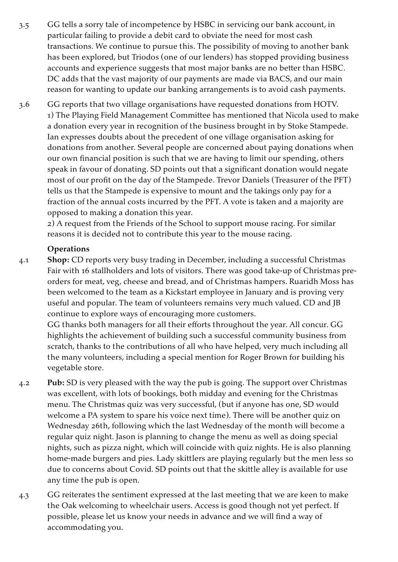- 3.5 GG tells a sorry tale of incompetence by HSBC in servicing our bank account, in particular failing to provide a debit card to obviate the need for most cash transactions. We continue to pursue this. The possibility of moving to another bank has been explored, but Triodos (one of our lenders) has stopped providing business accounts and experience suggests that most major banks are no better than HSBC. DC adds that the vast majority of our payments are made via BACS, and our main reason for wanting to update our banking arrangements is to avoid cash payments.
- 3.6 GG reports that two village organisations have requested donations from HOTV. 1) The Playing Field Management Committee has mentioned that Nicola used to make a donation every year in recognition of the business brought in by Stoke Stampede. Ian expresses doubts about the precedent of one village organisation asking for donations from another. Several people are concerned about paying donations when our own financial position is such that we are having to limit our spending, others speak in favour of donating. SD points out that a significant donation would negate most of our profit on the day of the Stampede. Trevor Daniels (Treasurer of the PFT) tells us that the Stampede is expensive to mount and the takings only pay for a fraction of the annual costs incurred by the PFT. A vote is taken and a majority are opposed to making a donation this year.

2) A request from the Friends of the School to support mouse racing. For similar reasons it is decided not to contribute this year to the mouse racing.

### **Operations**

4.1 **Shop:** CD reports very busy trading in December, including a successful Christmas Fair with 16 stallholders and lots of visitors. There was good take-up of Christmas preorders for meat, veg, cheese and bread, and of Christmas hampers. Ruaridh Moss has been welcomed to the team as a Kickstart employee in January and is proving very useful and popular. The team of volunteers remains very much valued. CD and JB continue to explore ways of encouraging more customers.

GG thanks both managers for all their efforts throughout the year. All concur. GG highlights the achievement of building such a successful community business from scratch, thanks to the contributions of all who have helped, very much including all the many volunteers, including a special mention for Roger Brown for building his vegetable store.

- 4.2 **Pub:** SD is very pleased with the way the pub is going. The support over Christmas was excellent, with lots of bookings, both midday and evening for the Christmas menu. The Christmas quiz was very successful, (but if anyone has one, SD would welcome a PA system to spare his voice next time). There will be another quiz on Wednesday 26th, following which the last Wednesday of the month will become a regular quiz night. Jason is planning to change the menu as well as doing special nights, such as pizza night, which will coincide with quiz nights. He is also planning home-made burgers and pies. Lady skittlers are playing regularly but the men less so due to concerns about Covid. SD points out that the skittle alley is available for use any time the pub is open.
- 4.3 GG reiterates the sentiment expressed at the last meeting that we are keen to make the Oak welcoming to wheelchair users. Access is good though not yet perfect. If possible, please let us know your needs in advance and we will find a way of accommodating you.